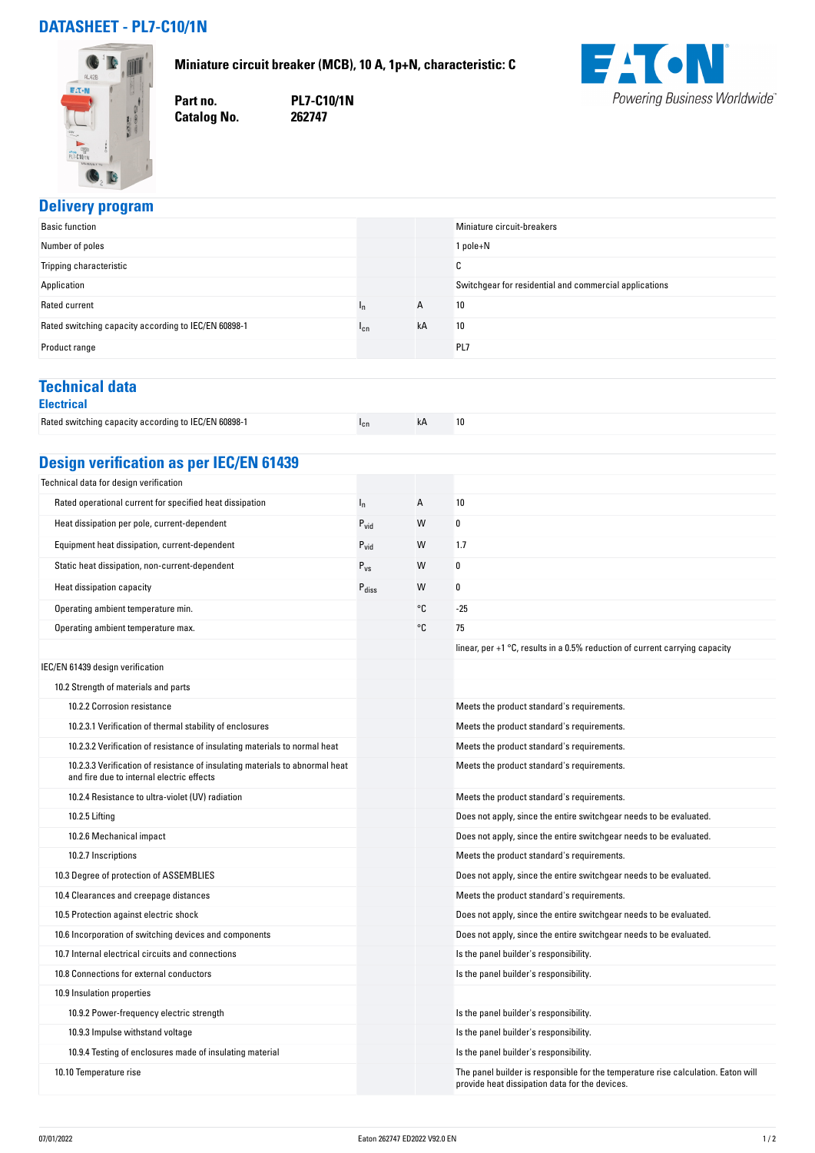## **DATASHEET - PL7-C10/1N**



**Miniature circuit breaker (MCB), 10 A, 1p+N, characteristic: C**

**Part no. PL7-C10/1N**

**Catalog No.** 



#### **Delivery program**

| <b>Basic function</b>                                |        |    | Miniature circuit-breakers                             |
|------------------------------------------------------|--------|----|--------------------------------------------------------|
| Number of poles                                      |        |    | 1 pole+N                                               |
| Tripping characteristic                              |        |    | r<br>u                                                 |
| Application                                          |        |    | Switchgear for residential and commercial applications |
| Rated current                                        | 'n     | A  | 10                                                     |
| Rated switching capacity according to IEC/EN 60898-1 | $1$ cn | kA | 10                                                     |
| Product range                                        |        |    | PL7                                                    |

### **Technical data**

| <b>Electrical</b>                                    |          |    |    |
|------------------------------------------------------|----------|----|----|
| Rated switching capacity according to IEC/EN 60898-1 | $I_{cn}$ | kA | 10 |

## **Design verification as per IEC/EN 61439**

| Technical data for design verification                                                                                    |                   |    |                                                                                                                                     |
|---------------------------------------------------------------------------------------------------------------------------|-------------------|----|-------------------------------------------------------------------------------------------------------------------------------------|
| Rated operational current for specified heat dissipation                                                                  | $I_n$             | A  | 10                                                                                                                                  |
| Heat dissipation per pole, current-dependent                                                                              | $P_{vid}$         | W  | 0                                                                                                                                   |
| Equipment heat dissipation, current-dependent                                                                             | $P_{\text{vid}}$  | W  | 1.7                                                                                                                                 |
| Static heat dissipation, non-current-dependent                                                                            | $P_{VS}$          | W  | 0                                                                                                                                   |
| Heat dissipation capacity                                                                                                 | $P_{\text{diss}}$ | W  | 0                                                                                                                                   |
| Operating ambient temperature min.                                                                                        |                   | °C | $-25$                                                                                                                               |
| Operating ambient temperature max.                                                                                        |                   | °C | 75                                                                                                                                  |
|                                                                                                                           |                   |    | linear, per $+1$ °C, results in a 0.5% reduction of current carrying capacity                                                       |
| IEC/EN 61439 design verification                                                                                          |                   |    |                                                                                                                                     |
| 10.2 Strength of materials and parts                                                                                      |                   |    |                                                                                                                                     |
| 10.2.2 Corrosion resistance                                                                                               |                   |    | Meets the product standard's requirements.                                                                                          |
| 10.2.3.1 Verification of thermal stability of enclosures                                                                  |                   |    | Meets the product standard's requirements.                                                                                          |
| 10.2.3.2 Verification of resistance of insulating materials to normal heat                                                |                   |    | Meets the product standard's requirements.                                                                                          |
| 10.2.3.3 Verification of resistance of insulating materials to abnormal heat<br>and fire due to internal electric effects |                   |    | Meets the product standard's requirements.                                                                                          |
| 10.2.4 Resistance to ultra-violet (UV) radiation                                                                          |                   |    | Meets the product standard's requirements.                                                                                          |
| 10.2.5 Lifting                                                                                                            |                   |    | Does not apply, since the entire switchgear needs to be evaluated.                                                                  |
| 10.2.6 Mechanical impact                                                                                                  |                   |    | Does not apply, since the entire switchgear needs to be evaluated.                                                                  |
| 10.2.7 Inscriptions                                                                                                       |                   |    | Meets the product standard's requirements.                                                                                          |
| 10.3 Degree of protection of ASSEMBLIES                                                                                   |                   |    | Does not apply, since the entire switchgear needs to be evaluated.                                                                  |
| 10.4 Clearances and creepage distances                                                                                    |                   |    | Meets the product standard's requirements.                                                                                          |
| 10.5 Protection against electric shock                                                                                    |                   |    | Does not apply, since the entire switchgear needs to be evaluated.                                                                  |
| 10.6 Incorporation of switching devices and components                                                                    |                   |    | Does not apply, since the entire switchgear needs to be evaluated.                                                                  |
| 10.7 Internal electrical circuits and connections                                                                         |                   |    | Is the panel builder's responsibility.                                                                                              |
| 10.8 Connections for external conductors                                                                                  |                   |    | Is the panel builder's responsibility.                                                                                              |
| 10.9 Insulation properties                                                                                                |                   |    |                                                                                                                                     |
| 10.9.2 Power-frequency electric strength                                                                                  |                   |    | Is the panel builder's responsibility.                                                                                              |
| 10.9.3 Impulse withstand voltage                                                                                          |                   |    | Is the panel builder's responsibility.                                                                                              |
| 10.9.4 Testing of enclosures made of insulating material                                                                  |                   |    | Is the panel builder's responsibility.                                                                                              |
| 10.10 Temperature rise                                                                                                    |                   |    | The panel builder is responsible for the temperature rise calculation. Eaton will<br>provide heat dissipation data for the devices. |